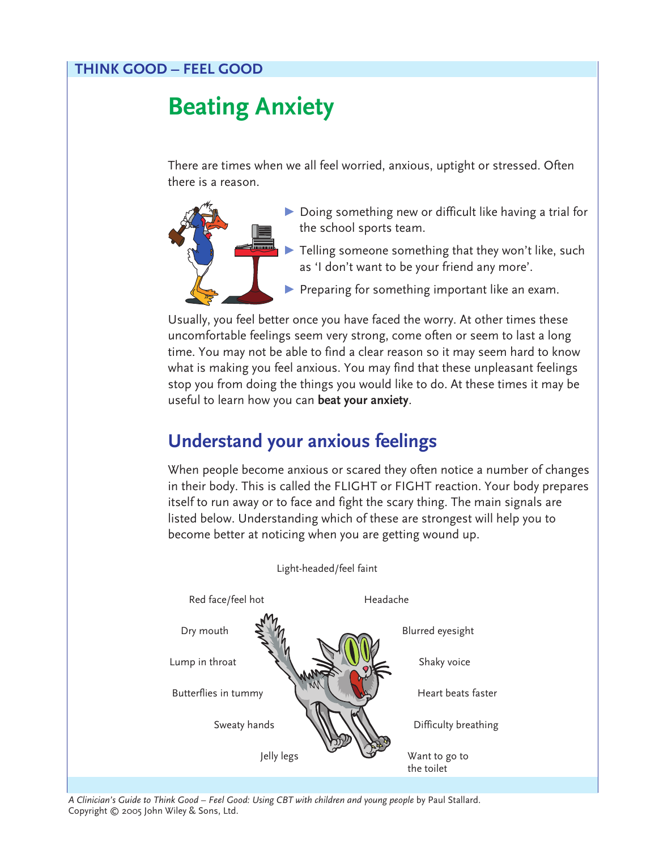### **THINK GOOD – FEEL GOOD**

# **Beating Anxiety**

There are times when we all feel worried, anxious, uptight or stressed. Often there is a reason.



- Doing something new or difficult like having a trial for the school sports team.
- Telling someone something that they won't like, such as 'I don't want to be your friend any more'.
- $\blacktriangleright$  Preparing for something important like an exam.

Usually, you feel better once you have faced the worry. At other times these uncomfortable feelings seem very strong, come often or seem to last a long time. You may not be able to find a clear reason so it may seem hard to know what is making you feel anxious. You may find that these unpleasant feelings stop you from doing the things you would like to do. At these times it may be useful to learn how you can **beat your anxiety**.

## **Understand your anxious feelings**

When people become anxious or scared they often notice a number of changes in their body. This is called the FLIGHT or FIGHT reaction. Your body prepares itself to run away or to face and fight the scary thing. The main signals are listed below. Understanding which of these are strongest will help you to become better at noticing when you are getting wound up.



*A Clinician's Guide to Think Good – Feel Good: Using CBT with children and young people* by Paul Stallard. Copyright © 2005 John Wiley & Sons, Ltd.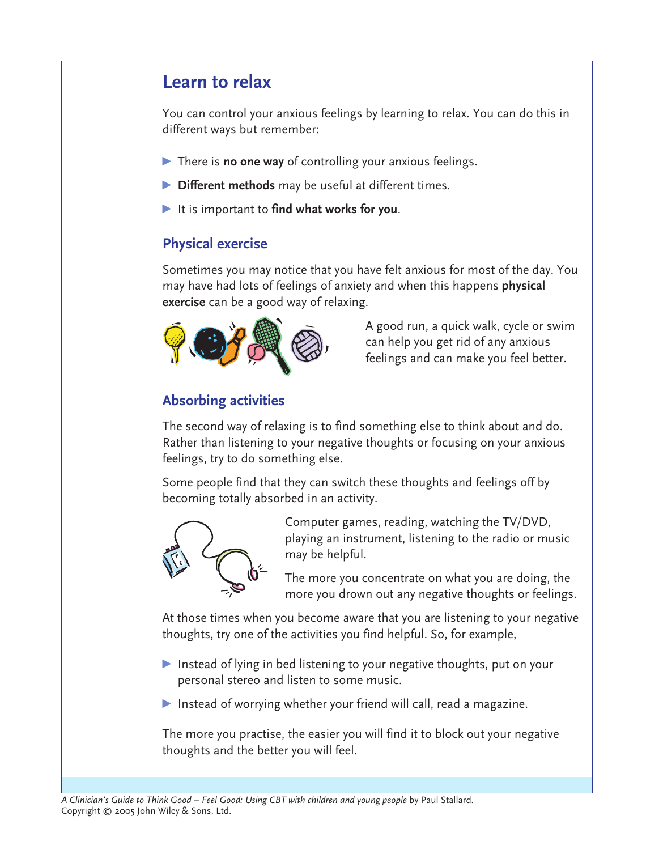### **Learn to relax**

You can control your anxious feelings by learning to relax. You can do this in different ways but remember:

- There is **no one way** of controlling your anxious feelings.
- **Different methods** may be useful at different times.
- It is important to **find what works for you**.

### **Physical exercise**

Sometimes you may notice that you have felt anxious for most of the day. You may have had lots of feelings of anxiety and when this happens **physical exercise** can be a good way of relaxing.



A good run, a quick walk, cycle or swim can help you get rid of any anxious feelings and can make you feel better.

### **Absorbing activities**

The second way of relaxing is to find something else to think about and do. Rather than listening to your negative thoughts or focusing on your anxious feelings, try to do something else.

Some people find that they can switch these thoughts and feelings off by becoming totally absorbed in an activity.



Computer games, reading, watching the TV/DVD, playing an instrument, listening to the radio or music may be helpful.

The more you concentrate on what you are doing, the more you drown out any negative thoughts or feelings.

At those times when you become aware that you are listening to your negative thoughts, try one of the activities you find helpful. So, for example,

- Instead of lying in bed listening to your negative thoughts, put on your personal stereo and listen to some music.
- Instead of worrying whether your friend will call, read a magazine.

The more you practise, the easier you will find it to block out your negative thoughts and the better you will feel.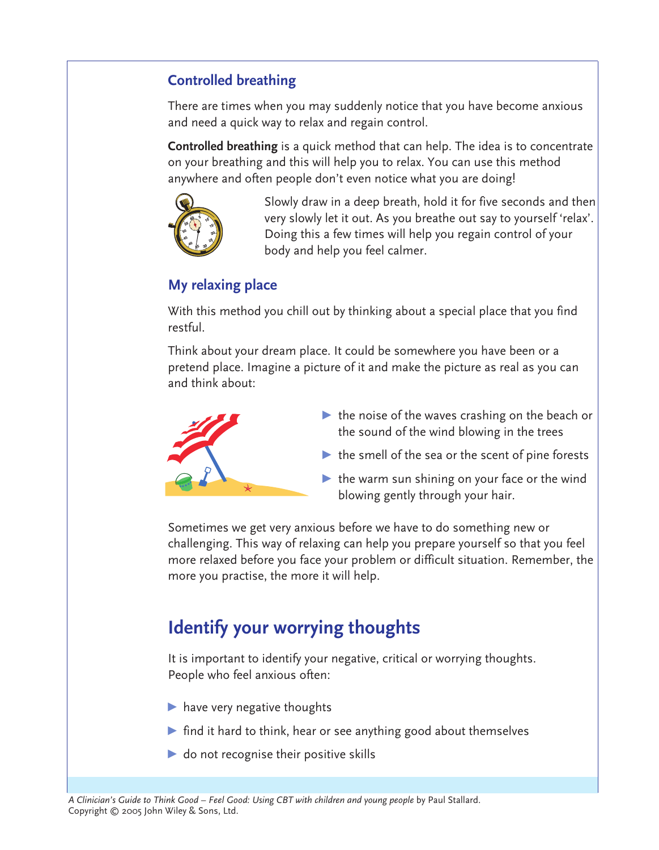### **Controlled breathing**

There are times when you may suddenly notice that you have become anxious and need a quick way to relax and regain control.

**Controlled breathing** is a quick method that can help. The idea is to concentrate on your breathing and this will help you to relax. You can use this method anywhere and often people don't even notice what you are doing!



Slowly draw in a deep breath, hold it for five seconds and then very slowly let it out. As you breathe out say to yourself 'relax'. Doing this a few times will help you regain control of your body and help you feel calmer.

### **My relaxing place**

With this method you chill out by thinking about a special place that you find restful.

Think about your dream place. It could be somewhere you have been or a pretend place. Imagine a picture of it and make the picture as real as you can and think about:



- $\blacktriangleright$  the noise of the waves crashing on the beach or the sound of the wind blowing in the trees
- $\blacktriangleright$  the smell of the sea or the scent of pine forests
- $\blacktriangleright$  the warm sun shining on your face or the wind blowing gently through your hair.

Sometimes we get very anxious before we have to do something new or challenging. This way of relaxing can help you prepare yourself so that you feel more relaxed before you face your problem or difficult situation. Remember, the more you practise, the more it will help.

## **Identify your worrying thoughts**

It is important to identify your negative, critical or worrying thoughts. People who feel anxious often:

- have very negative thoughts
- $\blacktriangleright$  find it hard to think, hear or see anything good about themselves
- $\blacktriangleright$  do not recognise their positive skills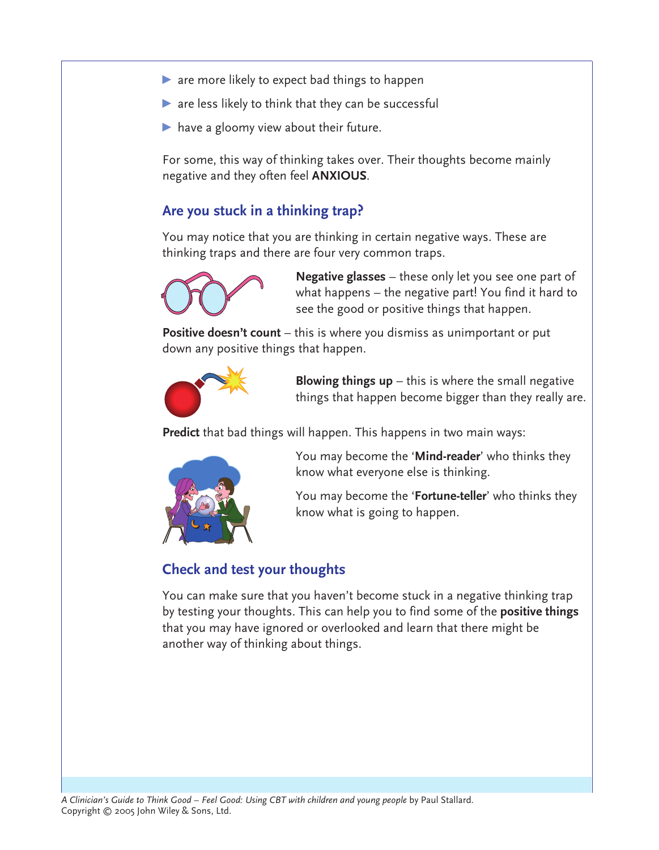- **are more likely to expect bad things to happen**
- $\blacktriangleright$  are less likely to think that they can be successful
- have a gloomy view about their future.

For some, this way of thinking takes over. Their thoughts become mainly negative and they often feel **ANXIOUS**.

### **Are you stuck in a thinking trap?**

You may notice that you are thinking in certain negative ways. These are thinking traps and there are four very common traps.



**Negative glasses** – these only let you see one part of what happens – the negative part! You find it hard to see the good or positive things that happen.

**Positive doesn't count** – this is where you dismiss as unimportant or put down any positive things that happen.



**Blowing things up** – this is where the small negative things that happen become bigger than they really are.

**Predict** that bad things will happen. This happens in two main ways:



You may become the '**Mind-reader**' who thinks they know what everyone else is thinking.

You may become the '**Fortune-teller**' who thinks they know what is going to happen.

### **Check and test your thoughts**

You can make sure that you haven't become stuck in a negative thinking trap by testing your thoughts. This can help you to find some of the **positive things** that you may have ignored or overlooked and learn that there might be another way of thinking about things.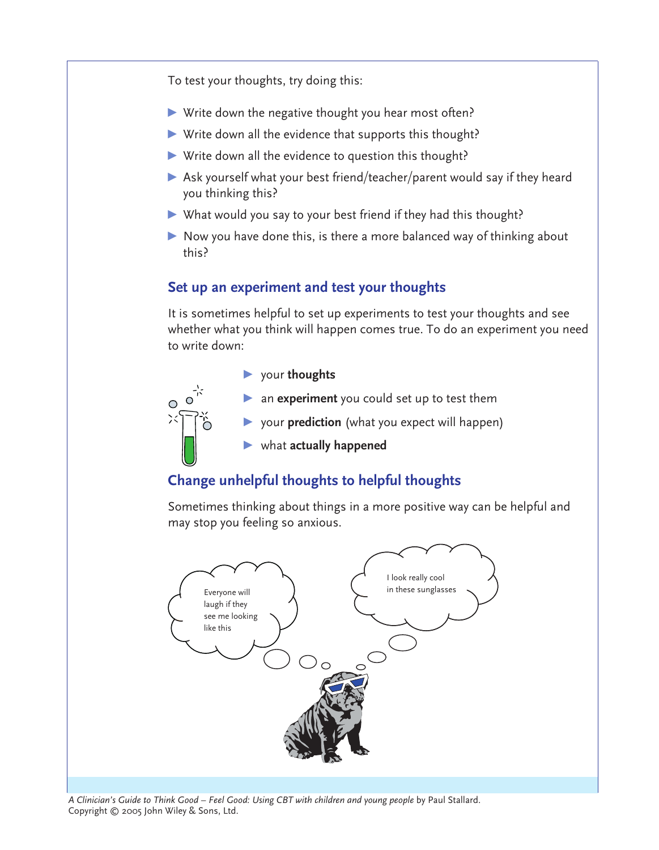To test your thoughts, try doing this:

- Write down the negative thought you hear most often?
- ▶ Write down all the evidence that supports this thought?
- ▶ Write down all the evidence to question this thought?
- $\blacktriangleright$  Ask yourself what your best friend/teacher/parent would say if they heard you thinking this?
- What would you say to your best friend if they had this thought?
- Now you have done this, is there a more balanced way of thinking about this?

#### **Set up an experiment and test your thoughts**

It is sometimes helpful to set up experiments to test your thoughts and see whether what you think will happen comes true. To do an experiment you need to write down:



### **Change unhelpful thoughts to helpful thoughts**

Sometimes thinking about things in a more positive way can be helpful and may stop you feeling so anxious.



*A Clinician's Guide to Think Good – Feel Good: Using CBT with children and young people* by Paul Stallard. Copyright © 2005 John Wiley & Sons, Ltd.